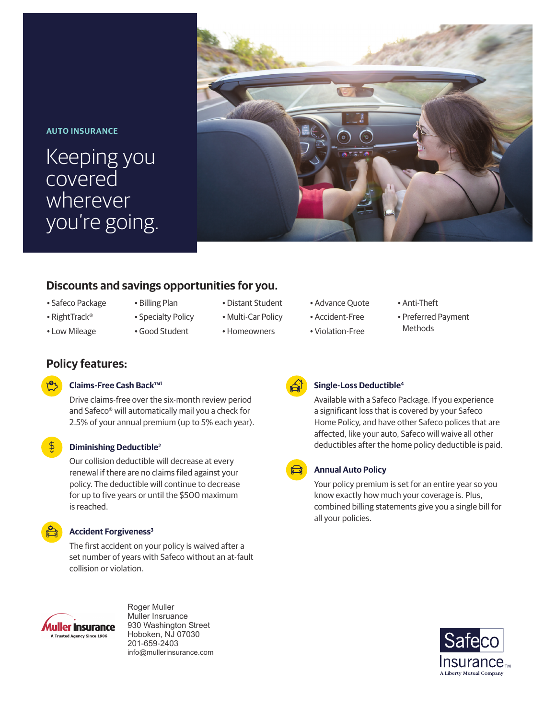## **AUTO INSURANCE**

Keeping you covered wherever you're going.



# **Discounts and savings opportunities for you.**

- Safeco Package
- 
- RightTrack®
- Low Mileage

**Policy features:**

is reached.

• Billing Plan

Drive claims-free over the six-month review period and Safeco® will automatically mail you a check for 2.5% of your annual premium (up to 5% each year).

Our collision deductible will decrease at every renewal if there are no claims filed against your policy. The deductible will continue to decrease for up to five years or until the \$500 maximum

The first accident on your policy is waived after a set number of years with Safeco without an at-fault

- Specialty Policy
- Good Student

**Claims-Free Cash Back™1**

**Diminishing Deductible2**

**Accident Forgiveness<sup>3</sup>** 

collision or violation.

- Distant Student
- Multi-Car Policy
- Homeowners
- Advance Quote
- Accident-Free
- Violation-Free
- Anti-Theft
- Preferred Payment
- Methods



# **Single-Loss Deductible4**

Available with a Safeco Package. If you experience a significant loss that is covered by your Safeco Home Policy, and have other Safeco polices that are affected, like your auto, Safeco will waive all other deductibles after the home policy deductible is paid.

# **Annual Auto Policy**

Your policy premium is set for an entire year so you know exactly how much your coverage is. Plus, combined billing statements give you a single bill for all your policies.





Roger Muller Muller Insruance 930 Washington Street Hoboken, NJ 07030 201-659-2403 info@mullerinsurance.com